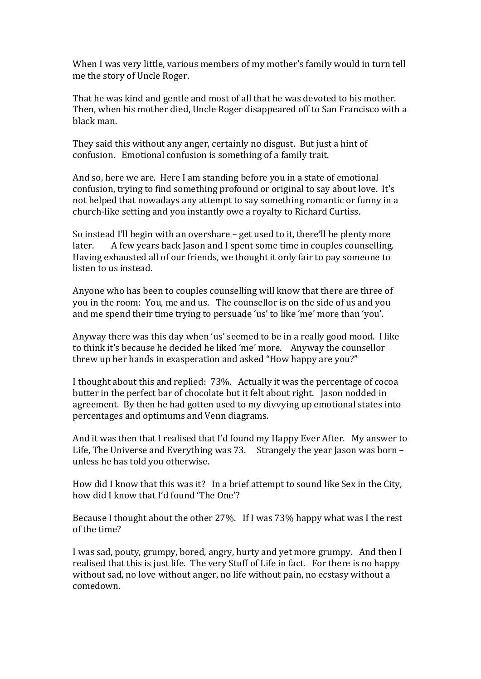When I was very little, various members of my mother's family would in turn tell me the story of Uncle Roger.

That he was kind and gentle and most of all that he was devoted to his mother. Then, when his mother died, Uncle Roger disappeared off to San Francisco with a black man.

They said this without any anger, certainly no disgust. But just a hint of confusion. Emotional confusion is something of a family trait.

And so, here we are. Here I am standing before you in a state of emotional confusion, trying to find something profound or original to say about love. It's not helped that nowadays any attempt to say something romantic or funny in a church-like setting and you instantly owe a royalty to Richard Curtiss.

So instead I'll begin with an overshare  $-$  get used to it, there'll be plenty more later. A few years back Jason and I spent some time in couples counselling. Having exhausted all of our friends, we thought it only fair to pay someone to listen to us instead.

Anyone who has been to couples counselling will know that there are three of you in the room: You, me and us. The counsellor is on the side of us and you and me spend their time trying to persuade 'us' to like 'me' more than 'you'.

Anyway there was this day when 'us' seemed to be in a really good mood. I like to think it's because he decided he liked 'me' more. Anyway the counsellor threw up her hands in exasperation and asked "How happy are you?"

I thought about this and replied: 73%. Actually it was the percentage of cocoa butter in the perfect bar of chocolate but it felt about right. Jason nodded in agreement. By then he had gotten used to my divvying up emotional states into percentages and optimums and Venn diagrams.

And it was then that I realised that I'd found my Happy Ever After. My answer to Life, The Universe and Everything was 73. Strangely the year Jason was born  $$ unless he has told you otherwise.

How did I know that this was it? In a brief attempt to sound like Sex in the City, how did I know that I'd found 'The One'?

Because I thought about the other  $27\%$ . If I was  $73\%$  happy what was I the rest of the time?

I was sad, pouty, grumpy, bored, angry, hurty and yet more grumpy. And then I realised that this is just life. The very Stuff of Life in fact. For there is no happy without sad, no love without anger, no life without pain, no ecstasy without a comedown.